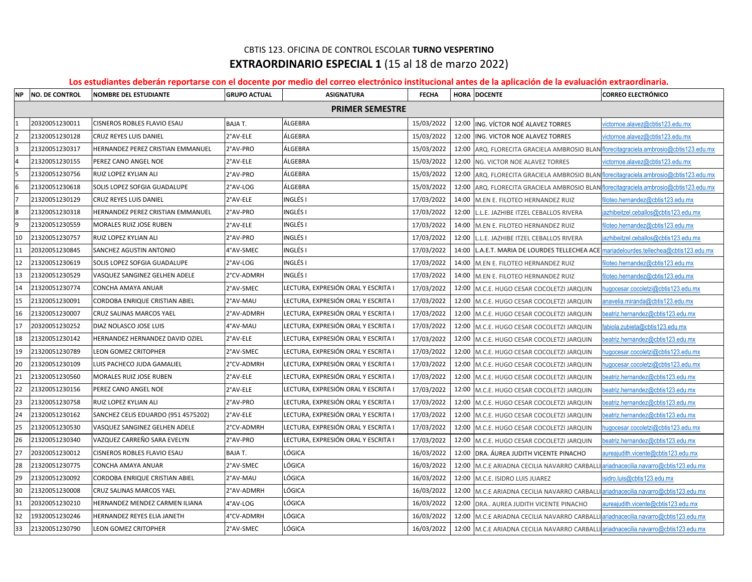## CBTIS 123. OFICINA DE CONTROL ESCOLAR **TURNO VESPERTINO EXTRAORDINARIO ESPECIAL 1** (15 al 18 de marzo 2022)

## **Los estudiantes deberán reportarse con el docente por medio del correo electrónico institucional antes de la aplicación de la evaluación extraordinaria.**

|    | NP NO. DE CONTROL      | <b>NOMBRE DEL ESTUDIANTE</b>        | <b>GRUPO ACTUAL</b> | <b>ASIGNATURA</b>                   | <b>FECHA</b> |       | HORA DOCENTE                                                                             | <b>CORREO ELECTRÓNICO</b>              |  |  |
|----|------------------------|-------------------------------------|---------------------|-------------------------------------|--------------|-------|------------------------------------------------------------------------------------------|----------------------------------------|--|--|
|    | <b>PRIMER SEMESTRE</b> |                                     |                     |                                     |              |       |                                                                                          |                                        |  |  |
|    | 20320051230011         | CISNEROS ROBLES FLAVIO ESAU         | <b>BAJAT.</b>       | ÁLGEBRA                             | 15/03/2022   | 12:00 | ING. VÍCTOR NOÉ ALAVEZ TORRES                                                            | victornoe.alavez@cbtis123.edu.mx       |  |  |
| l2 | 21320051230128         | CRUZ REYES LUIS DANIEL              | 2°AV-ELE            | ÁLGEBRA                             | 15/03/2022   | 12:00 | ING. VICTOR NOE ALAVEZ TORRES                                                            | victornoe.alavez@cbtis123.edu.mx       |  |  |
| l٩ | 21320051230317         | HERNANDEZ PEREZ CRISTIAN EMMANUEL   | 2°AV-PRO            | ÁLGEBRA                             | 15/03/2022   | 12:00 | ARQ. FLORECITA GRACIELA AMBROSIO BLAN florecitagraciela.ambrosio@cbtis123.edu.mx         |                                        |  |  |
|    | 21320051230155         | PEREZ CANO ANGEL NOE                | 2°AV-ELE            | ÁLGEBRA                             | 15/03/2022   | 12:00 | NG. VICTOR NOE ALAVEZ TORRES                                                             | victornoe.alavez@cbtis123.edu.mx       |  |  |
| 5  | 21320051230756         | RUIZ LOPEZ KYLIAN ALI               | 2°AV-PRO            | ÁLGEBRA                             | 15/03/2022   |       | 12:00   ARQ. FLORECITA GRACIELA AMBROSIO BLAN florecitagraciela.ambrosio@cbtis123.edu.mx |                                        |  |  |
| 6  | 21320051230618         | SOLIS LOPEZ SOFGIA GUADALUPE        | 2°AV-LOG            | ÁLGEBRA                             | 15/03/2022   |       | 12:00 ARQ. FLORECITA GRACIELA AMBROSIO BLAN florecitagraciela.ambrosio@cbtis123.edu.mx   |                                        |  |  |
|    | 21320051230129         | CRUZ REYES LUIS DANIEL              | 2°AV-ELE            | INGLÉS I                            | 17/03/2022   |       | 14:00 M.EN E. FILOTEO HERNANDEZ RUIZ                                                     | filoteo.hernandez@cbtis123.edu.mx      |  |  |
| 8  | 21320051230318         | HERNANDEZ PEREZ CRISTIAN EMMANUEL   | 2°AV-PRO            | INGLÉS I                            | 17/03/2022   | 12:00 | L.L.E. JAZHIBE ITZEL CEBALLOS RIVERA                                                     | iazhibeitzel.ceballos@cbtis123.edu.mx  |  |  |
| 9  | 21320051230559         | MORALES RUIZ JOSE RUBEN             | 2°AV-ELE            | INGLÉS I                            | 17/03/2022   | 14:00 | M.EN E. FILOTEO HERNANDEZ RUIZ                                                           | filoteo.hernandez@cbtis123.edu.mx      |  |  |
| 10 | 21320051230757         | RUIZ LOPEZ KYLIAN ALI               | 2°AV-PRO            | INGLÉS I                            | 17/03/2022   | 12:00 | L.L.E. JAZHIBE ITZEL CEBALLOS RIVERA                                                     | azhibeitzel.ceballos@cbtis123.edu.mx   |  |  |
| 11 | 20320051230845         | SANCHEZ AGUSTIN ANTONIO             | 4°AV-SMEC           | INGLÉS I                            | 17/03/2022   | 14:00 | L.A.E.T. MARIA DE LOURDES TELLECHEA ACE mariadelourdes.tellechea@cbtis123.edu.mx         |                                        |  |  |
| 12 | 21320051230619         | SOLIS LOPEZ SOFGIA GUADALUPE        | 2°AV-LOG            | <b>INGLÉS I</b>                     | 17/03/2022   | 14:00 | M.EN E. FILOTEO HERNANDEZ RUIZ                                                           | filoteo.hernandez@cbtis123.edu.mx      |  |  |
| 13 | 21320051230529         | VASQUEZ SANGINEZ GELHEN ADELE       | 2°CV-ADMRH          | <b>INGLÉS I</b>                     | 17/03/2022   | 14:00 | M.EN E. FILOTEO HERNANDEZ RUIZ                                                           | filoteo.hernandez@cbtis123.edu.mx      |  |  |
| 14 | 21320051230774         | CONCHA AMAYA ANUAR                  | 2°AV-SMEC           | LECTURA, EXPRESIÓN ORAL Y ESCRITA I | 17/03/2022   |       | 12:00 M.C.E. HUGO CESAR COCOLETZI JARQUIN                                                | hugocesar.cocoletzi@cbtis123.edu.mx    |  |  |
| 15 | 21320051230091         | CORDOBA ENRIQUE CRISTIAN ABIEL      | 2°AV-MAU            | LECTURA, EXPRESIÓN ORAL Y ESCRITA I | 17/03/2022   |       | 12:00 M.C.E. HUGO CESAR COCOLETZI JARQUIN                                                | anavelia.miranda@cbtis123.edu.mx       |  |  |
| 16 | 21320051230007         | CRUZ SALINAS MARCOS YAEL            | 2°AV-ADMRH          | LECTURA, EXPRESIÓN ORAL Y ESCRITA I | 17/03/2022   |       | 12:00 M.C.E. HUGO CESAR COCOLETZI JARQUIN                                                | beatriz.hernandez@cbtis123.edu.mx      |  |  |
| 17 | 20320051230252         | DIAZ NOLASCO JOSE LUIS              | 4°AV-MAU            | LECTURA, EXPRESIÓN ORAL Y ESCRITA I | 17/03/2022   |       | 12:00 M.C.E. HUGO CESAR COCOLETZI JARQUIN                                                | fabiola.zubieta@cbtis123.edu.mx        |  |  |
| 18 | 21320051230142         | HERNANDEZ HERNANDEZ DAVID OZIEL     | 2°AV-ELE            | LECTURA, EXPRESIÓN ORAL Y ESCRITA I | 17/03/2022   |       | 12:00 M.C.E. HUGO CESAR COCOLETZI JARQUIN                                                | beatriz.hernandez@cbtis123.edu.mx      |  |  |
| 19 | 21320051230789         | LEON GOMEZ CRITOPHER                | 2°AV-SMEC           | LECTURA, EXPRESIÓN ORAL Y ESCRITA I | 17/03/2022   | 12:00 | M.C.E. HUGO CESAR COCOLETZI JARQUIN                                                      | hugocesar.cocoletzi@cbtis123.edu.mx    |  |  |
| 20 | 21320051230109         | LUIS PACHECO JUDA GAMALIEL          | 2°CV-ADMRH          | LECTURA, EXPRESIÓN ORAL Y ESCRITA I | 17/03/2022   | 12:00 | M.C.E. HUGO CESAR COCOLETZI JARQUIN                                                      | hugocesar.cocoletzi@cbtis123.edu.mx    |  |  |
| 21 | 21320051230560         | MORALES RUIZ JOSE RUBEN             | 2°AV-ELE            | LECTURA, EXPRESIÓN ORAL Y ESCRITA I | 17/03/2022   | 12:00 | M.C.E. HUGO CESAR COCOLETZI JARQUIN                                                      | beatriz.hernandez@cbtis123.edu.mx      |  |  |
| 22 | 21320051230156         | PEREZ CANO ANGEL NOE                | 2°AV-ELE            | LECTURA, EXPRESIÓN ORAL Y ESCRITA I | 17/03/2022   | 12:00 | M.C.E. HUGO CESAR COCOLETZI JARQUIN                                                      | beatriz.hernandez@cbtis123.edu.mx      |  |  |
| 23 | 21320051230758         | RUIZ LOPEZ KYLIAN ALI               | 2°AV-PRO            | LECTURA, EXPRESIÓN ORAL Y ESCRITA I | 17/03/2022   |       | 12:00 M.C.E. HUGO CESAR COCOLETZI JARQUIN                                                | beatriz.hernandez@cbtis123.edu.mx      |  |  |
| 24 | 21320051230162         | SANCHEZ CELIS EDUARDO (951 4575202) | 2°AV-ELE            | LECTURA, EXPRESIÓN ORAL Y ESCRITA I | 17/03/2022   |       | 12:00 M.C.E. HUGO CESAR COCOLETZI JARQUIN                                                | beatriz.hernandez@cbtis123.edu.mx      |  |  |
| 25 | 21320051230530         | VASQUEZ SANGINEZ GELHEN ADELE       | 2°CV-ADMRH          | LECTURA, EXPRESIÓN ORAL Y ESCRITA I | 17/03/2022   |       | 12:00 M.C.E. HUGO CESAR COCOLETZI JARQUIN                                                | hugocesar.cocoletzi@cbtis123.edu.mx    |  |  |
| 26 | 21320051230340         | VAZQUEZ CARREÑO SARA EVELYN         | 2°AV-PRO            | LECTURA, EXPRESIÓN ORAL Y ESCRITA I | 17/03/2022   |       | 12:00 M.C.E. HUGO CESAR COCOLETZI JARQUIN                                                | beatriz.hernandez@cbtis123.edu.mx      |  |  |
| 27 | 20320051230012         | CISNEROS ROBLES FLAVIO ESAU         | <b>BAJAT.</b>       | LÓGICA                              | 16/03/2022   | 12:00 | <b>DRA, ÁUREA JUDITH VICENTE PINACHO</b>                                                 | aureajudith.vicente@cbtis123.edu.mx    |  |  |
| 28 | 21320051230775         | CONCHA AMAYA ANUAR                  | 2°AV-SMEC           | LÓGICA                              | 16/03/2022   | 12:00 | M.C.E ARIADNA CECILIA NAVARRO CARBALI                                                    | ariadnacecilia.navarro@cbtis123.edu.mx |  |  |
| 29 | 21320051230092         | CORDOBA ENRIQUE CRISTIAN ABIEL      | 2°AV-MAU            | LÓGICA                              | 16/03/2022   | 12:00 | M.C.E. ISIDRO LUIS JUAREZ                                                                | isidro.luis@cbtis123.edu.mx            |  |  |
| 30 | 21320051230008         | CRUZ SALINAS MARCOS YAEL            | 2°AV-ADMRH          | LÓGICA                              | 16/03/2022   | 12:00 | M.C.E ARIADNA CECILIA NAVARRO CARBALLI ariadnacecilia.navarro@cbtis123.edu.mx            |                                        |  |  |
| 31 | 20320051230210         | HERNANDEZ MENDEZ CARMEN ILIANA      | 4°AV-LOG            | LÓGICA                              | 16/03/2022   | 12:00 | DRA AUREA JUDITH VICENTE PINACHO                                                         | aureajudith.vicente@cbtis123.edu.mx    |  |  |
| 32 | 19320051230246         | HERNANDEZ REYES ELIA JANETH         | 4°CV-ADMRH          | LÓGICA                              | 16/03/2022   |       | 12:00   M.C.E ARIADNA CECILIA NAVARRO CARBALLI ariadnacecilia.navarro@cbtis123.edu.mx    |                                        |  |  |
| 33 | 21320051230790         | LEON GOMEZ CRITOPHER                | 2°AV-SMEC           | LÓGICA                              | 16/03/2022   |       | 12:00 M.C.E ARIADNA CECILIA NAVARRO CARBALLI ariadnacecilia.navarro@cbtis123.edu.mx      |                                        |  |  |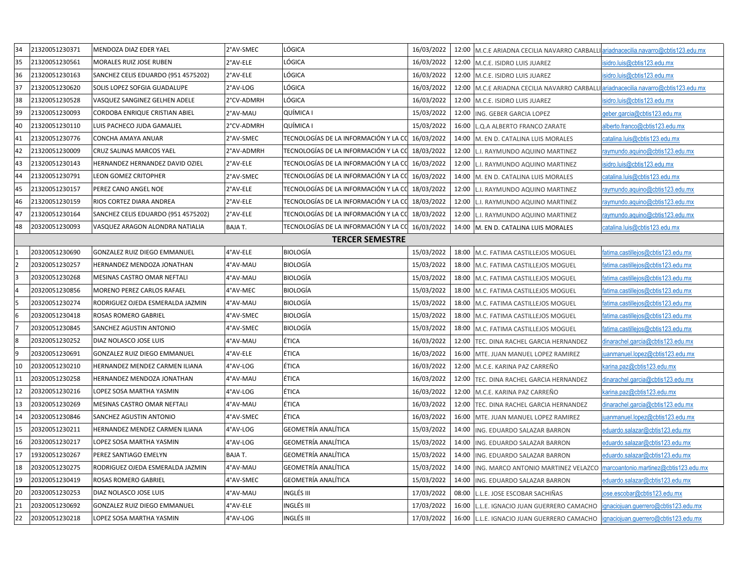| 34                       | 21320051230371         | MENDOZA DIAZ EDER YAEL              | 2°AV-SMEC     | LÓGICA                                           | 16/03/2022 |       | 12:00   M.C.E ARIADNA CECILIA NAVARRO CARBALLI ariadnacecilia.navarro@cbtis123.edu.mx |                                      |  |
|--------------------------|------------------------|-------------------------------------|---------------|--------------------------------------------------|------------|-------|---------------------------------------------------------------------------------------|--------------------------------------|--|
| 35                       | 21320051230561         | MORALES RUIZ JOSE RUBEN             | 2°AV-ELE      | LÓGICA                                           | 16/03/2022 |       | 12:00   M.C.E. ISIDRO LUIS JUAREZ                                                     | isidro.luis@cbtis123.edu.mx          |  |
| 36                       | 21320051230163         | SANCHEZ CELIS EDUARDO (951 4575202) | 2°AV-ELE      | LÓGICA                                           | 16/03/2022 |       | 12:00   M.C.E. ISIDRO LUIS JUAREZ                                                     | isidro.luis@cbtis123.edu.mx          |  |
| 37                       | 21320051230620         | SOLIS LOPEZ SOFGIA GUADALUPE        | 2°AV-LOG      | LÓGICA                                           | 16/03/2022 |       | 12:00 M.C.E ARIADNA CECILIA NAVARRO CARBALLI ariadnacecilia.navarro@cbtis123.edu.mx   |                                      |  |
| 38                       | 21320051230528         | VASQUEZ SANGINEZ GELHEN ADELE       | 2°CV-ADMRH    | LÓGICA                                           | 16/03/2022 |       | 12:00 M.C.E. ISIDRO LUIS JUAREZ                                                       | isidro.luis@cbtis123.edu.mx          |  |
| 39                       | 21320051230093         | CORDOBA ENRIQUE CRISTIAN ABIEL      | 2°AV-MAU      | QUÍMICA I                                        | 15/03/2022 |       | 12:00  ING. GEBER GARCIA LOPEZ                                                        | geber.garcia@cbtis123.edu.mx         |  |
| 40                       | 21320051230110         | LUIS PACHECO JUDA GAMALIEL          | 2°CV-ADMRH    | QUÍMICA I                                        | 15/03/2022 |       | 16:00 L.Q.A ALBERTO FRANCO ZARATE                                                     | alberto.franco@cbtis123.edu.mx       |  |
| 41                       | 21320051230776         | CONCHA AMAYA ANUAR                  | 2°AV-SMEC     | TECNOLOGÍAS DE LA INFORMACIÓN Y LA CC 16/03/2022 |            |       | 14:00   M. EN D. CATALINA LUIS MORALES                                                | catalina.luis@cbtis123.edu.mx        |  |
| 42                       | 21320051230009         | CRUZ SALINAS MARCOS YAEL            | 2°AV-ADMRH    | TECNOLOGÍAS DE LA INFORMACIÓN Y LA CC 18/03/2022 |            | 12:00 | L.I. RAYMUNDO AQUINO MARTINEZ                                                         | raymundo.aquino@cbtis123.edu.mx      |  |
| 43                       | 21320051230143         | HERNANDEZ HERNANDEZ DAVID OZIEL     | 2°AV-ELE      | TECNOLOGÍAS DE LA INFORMACIÓN Y LA CC 16/03/2022 |            | 12:00 | L.I. RAYMUNDO AQUINO MARTINEZ                                                         | isidro.luis@cbtis123.edu.mx          |  |
| 44                       | 21320051230791         | LEON GOMEZ CRITOPHER                | 2°AV-SMEC     | TECNOLOGÍAS DE LA INFORMACIÓN Y LA CC 16/03/2022 |            |       | 14:00   M. EN D. CATALINA LUIS MORALES                                                | catalina.luis@cbtis123.edu.mx        |  |
| 45                       | 21320051230157         | PEREZ CANO ANGEL NOE                | 2°AV-ELE      | TECNOLOGÍAS DE LA INFORMACIÓN Y LA CC 18/03/2022 |            | 12:00 | L.I. RAYMUNDO AQUINO MARTINEZ                                                         | raymundo.aquino@cbtis123.edu.mx      |  |
| 46                       | 21320051230159         | RIOS CORTEZ DIARA ANDREA            | 2°AV-ELE      | TECNOLOGÍAS DE LA INFORMACIÓN Y LA CC 18/03/2022 |            | 12:00 | L.I. RAYMUNDO AQUINO MARTINEZ                                                         | raymundo.aquino@cbtis123.edu.mx      |  |
| 47                       | 21320051230164         | SANCHEZ CELIS EDUARDO (951 4575202) | 2°AV-ELE      | TECNOLOGÍAS DE LA INFORMACIÓN Y LA CC 18/03/2022 |            | 12:00 | L.I. RAYMUNDO AQUINO MARTINEZ                                                         | raymundo.aquino@cbtis123.edu.mx      |  |
| 48                       | 20320051230093         | VASQUEZ ARAGON ALONDRA NATIALIA     | <b>BAJAT.</b> | TECNOLOGÍAS DE LA INFORMACIÓN Y LA CC 16/03/2022 |            |       | 14:00 M. EN D. CATALINA LUIS MORALES                                                  | catalina.luis@cbtis123.edu.mx        |  |
|                          | <b>TERCER SEMESTRE</b> |                                     |               |                                                  |            |       |                                                                                       |                                      |  |
|                          | 20320051230690         | GONZALEZ RUIZ DIEGO EMMANUEL        | 4°AV-ELE      | <b>BIOLOGÍA</b>                                  | 15/03/2022 |       | 18:00 M.C. FATIMA CASTILLEJOS MOGUEL                                                  | fatima.castillejos@cbtis123.edu.mx   |  |
| $\overline{\phantom{a}}$ | 20320051230257         | HERNANDEZ MENDOZA JONATHAN          | 4°AV-MAU      | <b>BIOLOGÍA</b>                                  | 15/03/2022 |       | 18:00   M.C. FATIMA CASTILLEJOS MOGUEL                                                | fatima.castillejos@cbtis123.edu.mx   |  |
| l3                       | 20320051230268         | MESINAS CASTRO OMAR NEFTALI         | 4°AV-MAU      | <b>BIOLOGÍA</b>                                  | 15/03/2022 | 18:00 | M.C. FATIMA CASTILLEJOS MOGUEL                                                        | fatima.castillejos@cbtis123.edu.mx   |  |
|                          | 20320051230856         | MORENO PEREZ CARLOS RAFAEL          | 4°AV-MEC      | <b>BIOLOGÍA</b>                                  | 15/03/2022 | 18:00 | M.C. FATIMA CASTILLEJOS MOGUEL                                                        | fatima.castillejos@cbtis123.edu.mx   |  |
| l5                       | 20320051230274         | RODRIGUEZ OJEDA ESMERALDA JAZMIN    | 4°AV-MAU      | <b>BIOLOGÍA</b>                                  | 15/03/2022 | 18:00 | M.C. FATIMA CASTILLEJOS MOGUEL                                                        | fatima.castillejos@cbtis123.edu.mx   |  |
| l6                       | 20320051230418         | ROSAS ROMERO GABRIEL                | 4°AV-SMEC     | <b>BIOLOGÍA</b>                                  | 15/03/2022 | 18:00 | M.C. FATIMA CASTILLEJOS MOGUEL                                                        | fatima.castillejos@cbtis123.edu.mx   |  |
| 17                       | 20320051230845         | <b>SANCHEZ AGUSTIN ANTONIO</b>      | 4°AV-SMEC     | <b>BIOLOGÍA</b>                                  | 15/03/2022 | 18:00 | M.C. FATIMA CASTILLEJOS MOGUEL                                                        | fatima.castillejos@cbtis123.edu.mx   |  |
| l8                       | 20320051230252         | DIAZ NOLASCO JOSE LUIS              | 4°AV-MAU      | ÉTICA                                            | 16/03/2022 | 12:00 | TEC. DINA RACHEL GARCIA HERNANDEZ                                                     | dinarachel.garcia@cbtis123.edu.mx    |  |
| l9                       | 20320051230691         | GONZALEZ RUIZ DIEGO EMMANUEL        | 4°AV-ELE      | ÉTICA                                            | 16/03/2022 | 16:00 | MTE. JUAN MANUEL LOPEZ RAMIREZ                                                        | juanmanuel.lopez@cbtis123.edu.mx     |  |
| 10                       | 20320051230210         | HERNANDEZ MENDEZ CARMEN ILIANA      | 4°AV-LOG      | ÉTICA                                            | 16/03/2022 | 12:00 | M.C.E. KARINA PAZ CARREÑO                                                             | karina.paz@cbtis123.edu.mx           |  |
| 11                       | 20320051230258         | HERNANDEZ MENDOZA JONATHAN          | 4°AV-MAU      | ÉTICA                                            | 16/03/2022 | 12:00 | TEC. DINA RACHEL GARCIA HERNANDEZ                                                     | dinarachel.garcia@cbtis123.edu.mx    |  |
| 12                       | 20320051230216         | LOPEZ SOSA MARTHA YASMIN            | 4°AV-LOG      | ÉTICA                                            | 16/03/2022 | 12:00 | M.C.E. KARINA PAZ CARREÑO                                                             | karina.paz@cbtis123.edu.mx           |  |
| 13                       | 20320051230269         | MESINAS CASTRO OMAR NEFTALI         | 4°AV-MAU      | ÉTICA                                            | 16/03/2022 | 12:00 | TEC. DINA RACHEL GARCIA HERNANDEZ                                                     | dinarachel.garcia@cbtis123.edu.mx    |  |
| 14                       | 20320051230846         | SANCHEZ AGUSTIN ANTONIO             | 4°AV-SMEC     | ÉTICA                                            | 16/03/2022 | 16:00 | MTE. JUAN MANUEL LOPEZ RAMIREZ                                                        | uanmanuel.lopez@cbtis123.edu.mx      |  |
| 15                       | 20320051230211         | HERNANDEZ MENDEZ CARMEN ILIANA      | 4°AV-LOG      | GEOMETRÍA ANALÍTICA                              | 15/03/2022 | 14:00 | ING. EDUARDO SALAZAR BARRON                                                           | eduardo.salazar@cbtis123.edu.mx      |  |
| 16                       | 20320051230217         | LOPEZ SOSA MARTHA YASMIN            | 4°AV-LOG      | GEOMETRÍA ANALÍTICA                              | 15/03/2022 | 14:00 | ING. EDUARDO SALAZAR BARRON                                                           | eduardo.salazar@cbtis123.edu.mx      |  |
| 17                       | 19320051230267         | PEREZ SANTIAGO EMELYN               | BAJA T.       | GEOMETRÍA ANALÍTICA                              | 15/03/2022 |       | 14:00  ING. EDUARDO SALAZAR BARRON                                                    | eduardo.salazar@cbtis123.edu.mx      |  |
| 18                       | 20320051230275         | RODRIGUEZ OJEDA ESMERALDA JAZMIN    | 4°AV-MAU      | GEOMETRÍA ANALÍTICA                              | 15/03/2022 |       | 14:00  ING. MARCO ANTONIO MARTINEZ VELAZCO   marcoantonio.martinez@cbtis123.edu.mx    |                                      |  |
| 19                       | 20320051230419         | ROSAS ROMERO GABRIEL                | 4°AV-SMEC     | <b>GEOMETRÍA ANALÍTICA</b>                       | 15/03/2022 |       | 14:00  ING. EDUARDO SALAZAR BARRON                                                    | eduardo.salazar@cbtis123.edu.mx      |  |
| 20                       | 20320051230253         | DIAZ NOLASCO JOSE LUIS              | 4°AV-MAU      | INGLÉS III                                       | 17/03/2022 |       | 08:00 L.L.E. JOSE ESCOBAR SACHIÑAS                                                    | jose.escobar@cbtis123.edu.mx         |  |
| 21                       | 20320051230692         | GONZALEZ RUIZ DIEGO EMMANUEL        | 4°AV-ELE      | INGLÉS III                                       | 17/03/2022 | 16:00 | L.L.E. IGNACIO JUAN GUERRERO CAMACHO                                                  | ignaciojuan.querrero@cbtis123.edu.mx |  |
| 22                       | 20320051230218         | LOPEZ SOSA MARTHA YASMIN            | 4°AV-LOG      | INGLÉS III                                       | 17/03/2022 | 16:00 | L.L.E. IGNACIO JUAN GUERRERO CAMACHO                                                  | ignaciojuan.querrero@cbtis123.edu.mx |  |